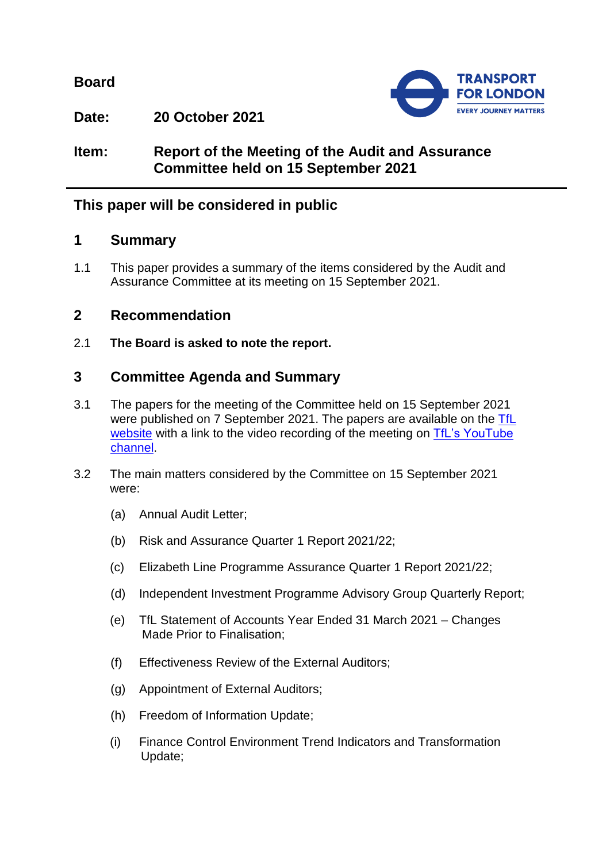**Board**



**Date: 20 October 2021**

# **Item: Report of the Meeting of the Audit and Assurance Committee held on 15 September 2021**

# **This paper will be considered in public**

## **1 Summary**

1.1 This paper provides a summary of the items considered by the Audit and Assurance Committee at its meeting on 15 September 2021.

# **2 Recommendation**

2.1 **The Board is asked to note the report.**

# **3 Committee Agenda and Summary**

- 3.1 The papers for the meeting of the Committee held on 15 September 2021 were published on 7 September 2021. The papers are available on the [TfL](https://board.tfl.gov.uk/uuCoverPage.aspx?bcr=1)  [website](https://board.tfl.gov.uk/uuCoverPage.aspx?bcr=1) with a link to the video recording of the meeting on TfL's YouTube [channel.](https://www.youtube.com/playlist?list=PLtnlusA0Zoggk4qvN68OcnD9k_7B8cY_d)
- 3.2 The main matters considered by the Committee on 15 September 2021 were:
	- (a) Annual Audit Letter;
	- (b) Risk and Assurance Quarter 1 Report 2021/22;
	- (c) Elizabeth Line Programme Assurance Quarter 1 Report 2021/22;
	- (d) Independent Investment Programme Advisory Group Quarterly Report;
	- (e) TfL Statement of Accounts Year Ended 31 March 2021 Changes Made Prior to Finalisation;
	- (f) Effectiveness Review of the External Auditors;
	- (g) Appointment of External Auditors;
	- (h) Freedom of Information Update;
	- (i) Finance Control Environment Trend Indicators and Transformation Update;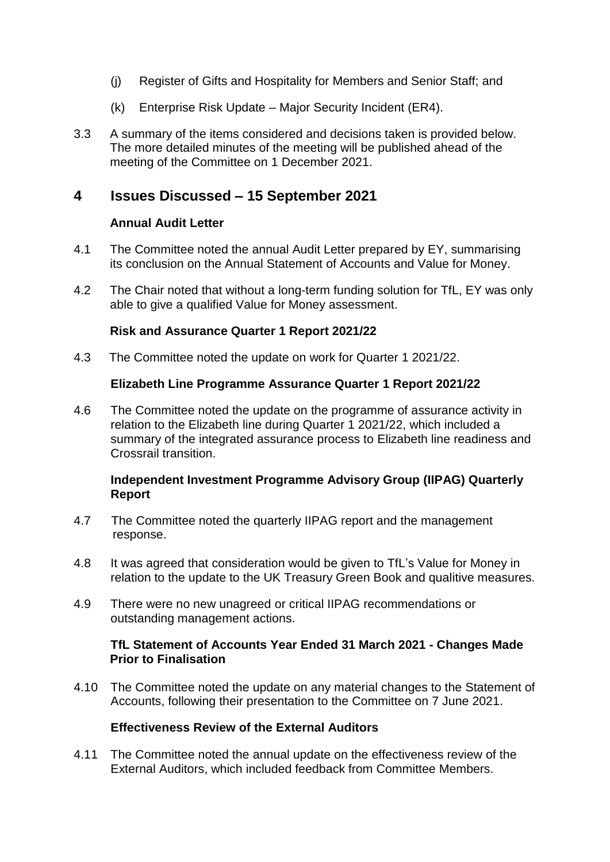- (j) Register of Gifts and Hospitality for Members and Senior Staff; and
- (k) Enterprise Risk Update Major Security Incident (ER4).
- 3.3 A summary of the items considered and decisions taken is provided below. The more detailed minutes of the meeting will be published ahead of the meeting of the Committee on 1 December 2021.

## **4 Issues Discussed – 15 September 2021**

### **Annual Audit Letter**

- 4.1 The Committee noted the annual Audit Letter prepared by EY, summarising its conclusion on the Annual Statement of Accounts and Value for Money.
- 4.2 The Chair noted that without a long-term funding solution for TfL, EY was only able to give a qualified Value for Money assessment.

### **Risk and Assurance Quarter 1 Report 2021/22**

4.3 The Committee noted the update on work for Quarter 1 2021/22.

### **Elizabeth Line Programme Assurance Quarter 1 Report 2021/22**

4.6 The Committee noted the update on the programme of assurance activity in relation to the Elizabeth line during Quarter 1 2021/22, which included a summary of the integrated assurance process to Elizabeth line readiness and Crossrail transition.

### **Independent Investment Programme Advisory Group (IIPAG) Quarterly Report**

- 4.7 The Committee noted the quarterly IIPAG report and the management response.
- 4.8 It was agreed that consideration would be given to TfL's Value for Money in relation to the update to the UK Treasury Green Book and qualitive measures.
- 4.9 There were no new unagreed or critical IIPAG recommendations or outstanding management actions.

#### **TfL Statement of Accounts Year Ended 31 March 2021 - Changes Made Prior to Finalisation**

4.10 The Committee noted the update on any material changes to the Statement of Accounts, following their presentation to the Committee on 7 June 2021.

#### **Effectiveness Review of the External Auditors**

4.11 The Committee noted the annual update on the effectiveness review of the External Auditors, which included feedback from Committee Members.